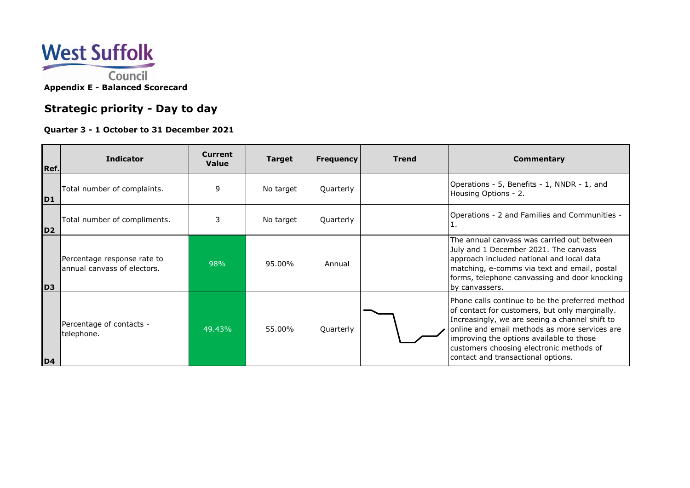

| Ref.           | <b>Indicator</b>                                           | <b>Current</b><br>Value | <b>Target</b> | <b>Frequency</b> | <b>Trend</b> | <b>Commentary</b>                                                                                                                                                                                                                                                                                                                  |
|----------------|------------------------------------------------------------|-------------------------|---------------|------------------|--------------|------------------------------------------------------------------------------------------------------------------------------------------------------------------------------------------------------------------------------------------------------------------------------------------------------------------------------------|
| D <sub>1</sub> | Total number of complaints.                                | 9                       | No target     | Quarterly        |              | Operations - 5, Benefits - 1, NNDR - 1, and<br>Housing Options - 2.                                                                                                                                                                                                                                                                |
| D <sub>2</sub> | Total number of compliments.                               | 3                       | No target     | Quarterly        |              | Operations - 2 and Families and Communities -                                                                                                                                                                                                                                                                                      |
| D <sub>3</sub> | Percentage response rate to<br>annual canvass of electors. | 98%                     | 95.00%        | Annual           |              | The annual canvass was carried out between<br>July and 1 December 2021. The canvass<br>approach included national and local data<br>matching, e-comms via text and email, postal<br>forms, telephone canvassing and door knocking<br>by canvassers.                                                                                |
| D <sub>4</sub> | Percentage of contacts -<br>telephone.                     | 49.43%                  | 55.00%        | Quarterly        |              | Phone calls continue to be the preferred method<br>of contact for customers, but only marginally.<br>Increasingly, we are seeing a channel shift to<br>online and email methods as more services are<br>improving the options available to those<br>customers choosing electronic methods of<br>contact and transactional options. |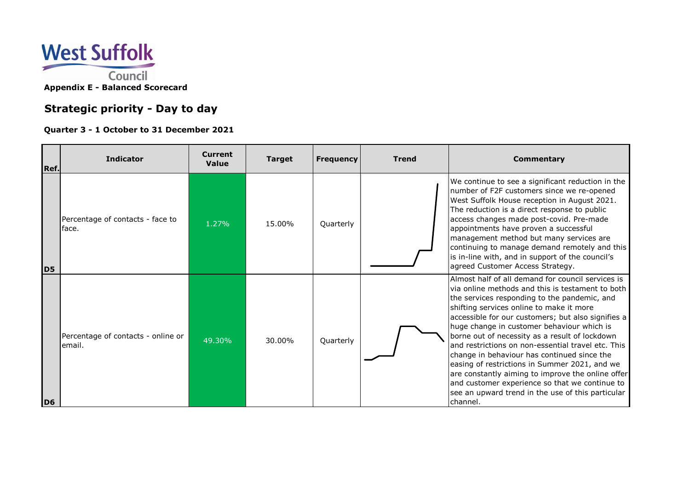

| Ref.           | <b>Indicator</b>                              | <b>Current</b><br>Value | <b>Target</b> | <b>Frequency</b> | <b>Trend</b> | <b>Commentary</b>                                                                                                                                                                                                                                                                                                                                                                                                                                                                                                                                                                                                                                                                     |
|----------------|-----------------------------------------------|-------------------------|---------------|------------------|--------------|---------------------------------------------------------------------------------------------------------------------------------------------------------------------------------------------------------------------------------------------------------------------------------------------------------------------------------------------------------------------------------------------------------------------------------------------------------------------------------------------------------------------------------------------------------------------------------------------------------------------------------------------------------------------------------------|
| D <sub>5</sub> | Percentage of contacts - face to<br>lface.    | 1.27%                   | 15.00%        | Quarterly        |              | We continue to see a significant reduction in the<br>number of F2F customers since we re-opened<br>West Suffolk House reception in August 2021.<br>The reduction is a direct response to public<br>access changes made post-covid. Pre-made<br>appointments have proven a successful<br>management method but many services are<br>continuing to manage demand remotely and this<br>is in-line with, and in support of the council's<br>agreed Customer Access Strategy.                                                                                                                                                                                                              |
| D <sub>6</sub> | Percentage of contacts - online or<br>lemail. | 49.30%                  | 30.00%        | Quarterly        |              | Almost half of all demand for council services is<br>via online methods and this is testament to both<br>the services responding to the pandemic, and<br>shifting services online to make it more<br>accessible for our customers; but also signifies a<br>huge change in customer behaviour which is<br>borne out of necessity as a result of lockdown<br>and restrictions on non-essential travel etc. This<br>change in behaviour has continued since the<br>easing of restrictions in Summer 2021, and we<br>are constantly aiming to improve the online offer<br>and customer experience so that we continue to<br>see an upward trend in the use of this particular<br>channel. |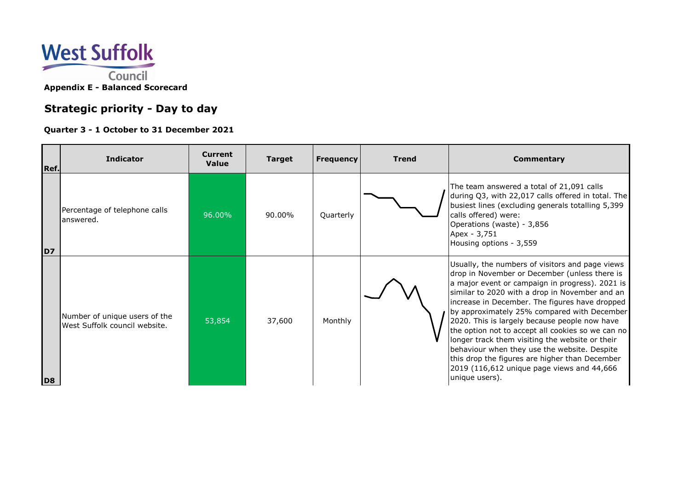

| Ref.           | <b>Indicator</b>                                               | <b>Current</b><br><b>Value</b> | <b>Target</b> | <b>Frequency</b> | <b>Trend</b> | <b>Commentary</b>                                                                                                                                                                                                                                                                                                                                                                                                                                                                                                                                                                                                                 |
|----------------|----------------------------------------------------------------|--------------------------------|---------------|------------------|--------------|-----------------------------------------------------------------------------------------------------------------------------------------------------------------------------------------------------------------------------------------------------------------------------------------------------------------------------------------------------------------------------------------------------------------------------------------------------------------------------------------------------------------------------------------------------------------------------------------------------------------------------------|
| D7             | Percentage of telephone calls<br>answered.                     | 96.00%                         | 90.00%        | Quarterly        |              | The team answered a total of 21,091 calls<br>during Q3, with 22,017 calls offered in total. The<br>busiest lines (excluding generals totalling 5,399<br>calls offered) were:<br>Operations (waste) - 3,856<br>Apex - 3,751<br>Housing options - 3,559                                                                                                                                                                                                                                                                                                                                                                             |
| D <sub>8</sub> | Number of unique users of the<br>West Suffolk council website. | 53,854                         | 37,600        | Monthly          |              | Usually, the numbers of visitors and page views<br>drop in November or December (unless there is<br>a major event or campaign in progress). 2021 is<br>similar to 2020 with a drop in November and an<br>increase in December. The figures have dropped<br>by approximately 25% compared with December<br>2020. This is largely because people now have<br>the option not to accept all cookies so we can no<br>longer track them visiting the website or their<br>behaviour when they use the website. Despite<br>this drop the figures are higher than December<br>2019 (116,612 unique page views and 44,666<br>unique users). |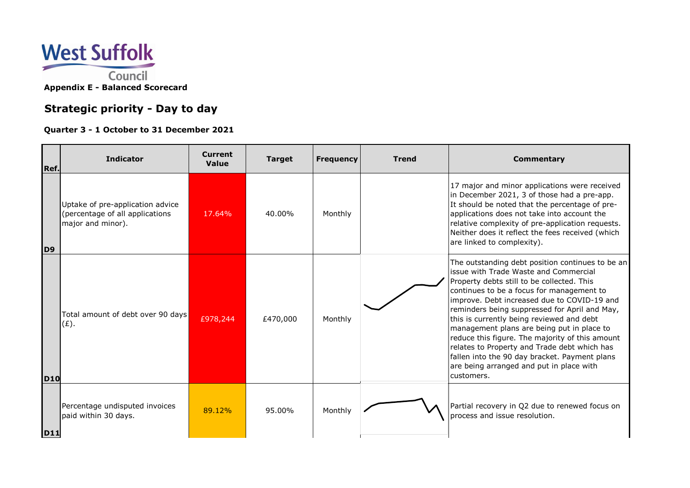

| Ref.           | <b>Indicator</b>                                                                         | <b>Current</b><br><b>Value</b> | <b>Target</b> | <b>Frequency</b> | <b>Trend</b> | <b>Commentary</b>                                                                                                                                                                                                                                                                                                                                                                                                                                                                                                                                                                             |
|----------------|------------------------------------------------------------------------------------------|--------------------------------|---------------|------------------|--------------|-----------------------------------------------------------------------------------------------------------------------------------------------------------------------------------------------------------------------------------------------------------------------------------------------------------------------------------------------------------------------------------------------------------------------------------------------------------------------------------------------------------------------------------------------------------------------------------------------|
| D <sub>9</sub> | Uptake of pre-application advice<br>(percentage of all applications<br>major and minor). | 17.64%                         | 40.00%        | Monthly          |              | 17 major and minor applications were received<br>in December 2021, 3 of those had a pre-app.<br>It should be noted that the percentage of pre-<br>applications does not take into account the<br>relative complexity of pre-application requests.<br>Neither does it reflect the fees received (which<br>are linked to complexity).                                                                                                                                                                                                                                                           |
| <b>D10</b>     | Total amount of debt over 90 days<br>(E).                                                | £978,244                       | £470,000      | Monthly          |              | The outstanding debt position continues to be an<br>issue with Trade Waste and Commercial<br>Property debts still to be collected. This<br>continues to be a focus for management to<br>improve. Debt increased due to COVID-19 and<br>reminders being suppressed for April and May,<br>this is currently being reviewed and debt<br>management plans are being put in place to<br>reduce this figure. The majority of this amount<br>relates to Property and Trade debt which has<br>fallen into the 90 day bracket. Payment plans<br>are being arranged and put in place with<br>customers. |
| <b>D11</b>     | Percentage undisputed invoices<br>paid within 30 days.                                   | 89.12%                         | 95.00%        | Monthly          |              | Partial recovery in Q2 due to renewed focus on<br>process and issue resolution.                                                                                                                                                                                                                                                                                                                                                                                                                                                                                                               |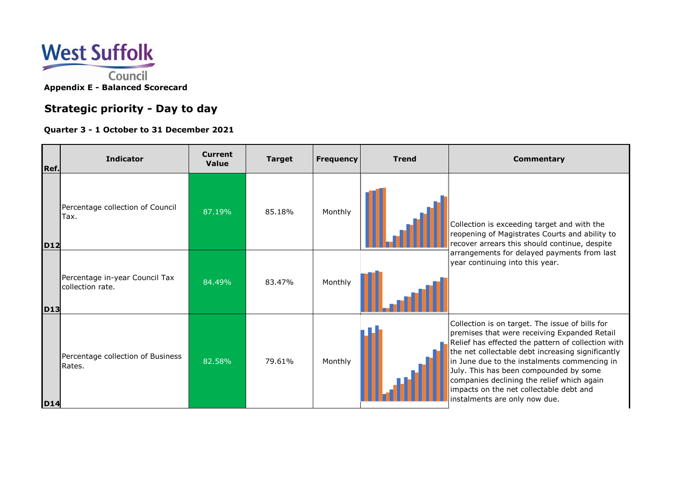

| Ref.       | <b>Indicator</b>                                   | <b>Current</b><br><b>Value</b> | <b>Target</b> | <b>Frequency</b> | <b>Trend</b> | <b>Commentary</b>                                                                                                                                                                                                                                                                                                                                                                                                              |
|------------|----------------------------------------------------|--------------------------------|---------------|------------------|--------------|--------------------------------------------------------------------------------------------------------------------------------------------------------------------------------------------------------------------------------------------------------------------------------------------------------------------------------------------------------------------------------------------------------------------------------|
| <b>D12</b> | Percentage collection of Council<br>Tax.           | 87.19%                         | 85.18%        | Monthly          |              | Collection is exceeding target and with the<br>reopening of Magistrates Courts and ability to<br>recover arrears this should continue, despite                                                                                                                                                                                                                                                                                 |
| <b>D13</b> | Percentage in-year Council Tax<br>collection rate. | 84.49%                         | 83.47%        | Monthly          |              | arrangements for delayed payments from last<br>year continuing into this year.                                                                                                                                                                                                                                                                                                                                                 |
| <b>D14</b> | Percentage collection of Business<br>Rates.        | 82.58%                         | 79.61%        | Monthly          |              | Collection is on target. The issue of bills for<br>premises that were receiving Expanded Retail<br>Relief has effected the pattern of collection with<br>the net collectable debt increasing significantly<br>in June due to the instalments commencing in<br>July. This has been compounded by some<br>companies declining the relief which again<br>impacts on the net collectable debt and<br>instalments are only now due. |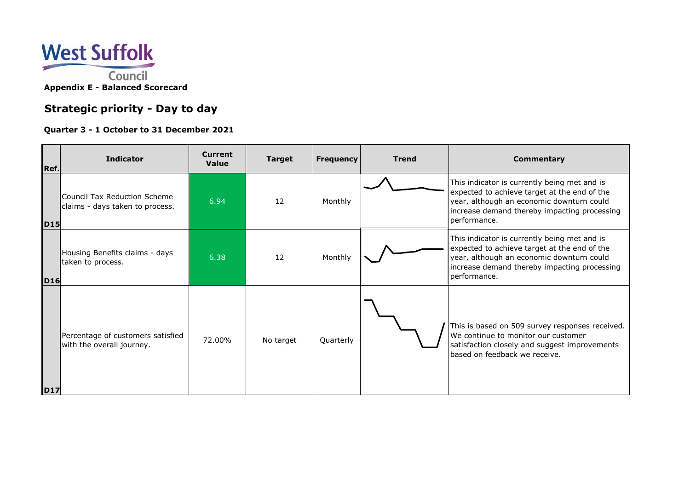

| Ref.       | <b>Indicator</b>                                                | <b>Current</b><br>Value | <b>Target</b> | <b>Frequency</b> | <b>Trend</b> | <b>Commentary</b>                                                                                                                                                                                         |
|------------|-----------------------------------------------------------------|-------------------------|---------------|------------------|--------------|-----------------------------------------------------------------------------------------------------------------------------------------------------------------------------------------------------------|
| <b>D15</b> | Council Tax Reduction Scheme<br>claims - days taken to process. | 6.94                    | 12            | Monthly          |              | This indicator is currently being met and is<br>expected to achieve target at the end of the<br>year, although an economic downturn could<br>increase demand thereby impacting processing<br>performance. |
| <b>D16</b> | Housing Benefits claims - days<br>taken to process.             | 6.38                    | 12            | Monthly          |              | This indicator is currently being met and is<br>expected to achieve target at the end of the<br>year, although an economic downturn could<br>increase demand thereby impacting processing<br>performance. |
| <b>D17</b> | Percentage of customers satisfied<br>with the overall journey.  | 72.00%                  | No target     | Quarterly        |              | This is based on 509 survey responses received.<br>We continue to monitor our customer<br>satisfaction closely and suggest improvements<br>based on feedback we receive.                                  |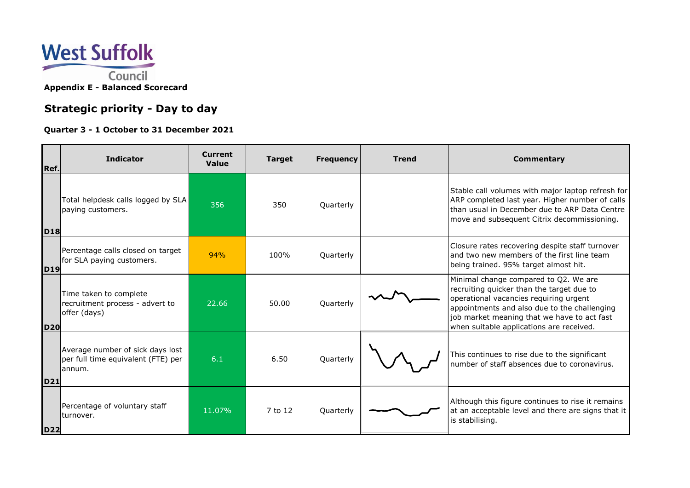

| Ref.       | <b>Indicator</b>                                                                 | <b>Current</b><br>Value | <b>Target</b> | <b>Frequency</b> | <b>Trend</b> | <b>Commentary</b>                                                                                                                                                                                                                                                       |
|------------|----------------------------------------------------------------------------------|-------------------------|---------------|------------------|--------------|-------------------------------------------------------------------------------------------------------------------------------------------------------------------------------------------------------------------------------------------------------------------------|
| <b>D18</b> | Total helpdesk calls logged by SLA<br>paying customers.                          | 356                     | 350           | Quarterly        |              | Stable call volumes with major laptop refresh for<br>ARP completed last year. Higher number of calls<br>than usual in December due to ARP Data Centre<br>move and subsequent Citrix decommissioning.                                                                    |
| <b>D19</b> | Percentage calls closed on target<br>for SLA paying customers.                   | 94%                     | 100%          | Quarterly        |              | Closure rates recovering despite staff turnover<br>and two new members of the first line team<br>being trained. 95% target almost hit.                                                                                                                                  |
| <b>D20</b> | Time taken to complete<br>recruitment process - advert to<br>offer (days)        | 22.66                   | 50.00         | Quarterly        |              | Minimal change compared to Q2. We are<br>recruiting quicker than the target due to<br>operational vacancies requiring urgent<br>appointments and also due to the challenging<br>job market meaning that we have to act fast<br>when suitable applications are received. |
| <b>D21</b> | Average number of sick days lost<br>per full time equivalent (FTE) per<br>annum. | 6.1                     | 6.50          | Quarterly        |              | This continues to rise due to the significant<br>number of staff absences due to coronavirus.                                                                                                                                                                           |
| <b>D22</b> | Percentage of voluntary staff<br>turnover.                                       | 11.07%                  | 7 to 12       | Quarterly        |              | Although this figure continues to rise it remains<br>at an acceptable level and there are signs that it<br>is stabilising.                                                                                                                                              |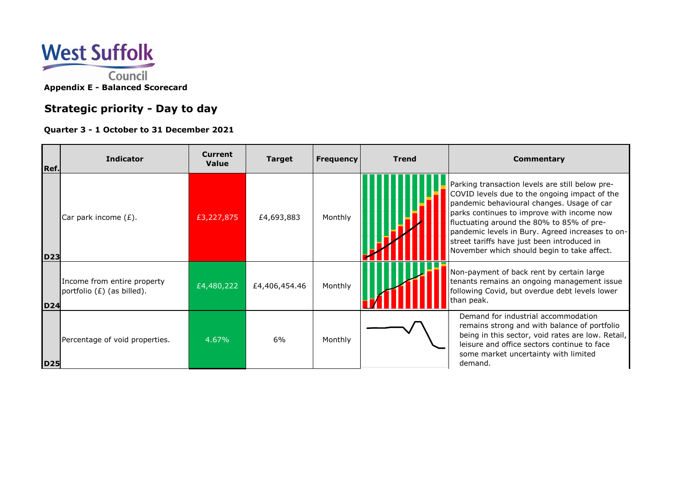

| Ref.       | <b>Indicator</b>                                            | <b>Current</b><br>Value | <b>Target</b> | <b>Frequency</b> | <b>Trend</b> | <b>Commentary</b>                                                                                                                                                                                                                                                                                                                                                                           |
|------------|-------------------------------------------------------------|-------------------------|---------------|------------------|--------------|---------------------------------------------------------------------------------------------------------------------------------------------------------------------------------------------------------------------------------------------------------------------------------------------------------------------------------------------------------------------------------------------|
| <b>D23</b> | Car park income $(E)$ .                                     | £3,227,875              | £4,693,883    | Monthly          |              | Parking transaction levels are still below pre-<br>COVID levels due to the ongoing impact of the<br>pandemic behavioural changes. Usage of car<br>parks continues to improve with income now<br>fluctuating around the 80% to 85% of pre-<br>pandemic levels in Bury. Agreed increases to on-<br>street tariffs have just been introduced in<br>November which should begin to take affect. |
| <b>D24</b> | Income from entire property<br>portfolio $(E)$ (as billed). | £4,480,222              | £4,406,454.46 | Monthly          |              | Non-payment of back rent by certain large<br>tenants remains an ongoing management issue<br>following Covid, but overdue debt levels lower<br>than peak.                                                                                                                                                                                                                                    |
| <b>D25</b> | Percentage of void properties.                              | 4.67%                   | 6%            | Monthly          |              | Demand for industrial accommodation<br>remains strong and with balance of portfolio<br>being in this sector, void rates are low. Retail,<br>leisure and office sectors continue to face<br>some market uncertainty with limited<br>demand.                                                                                                                                                  |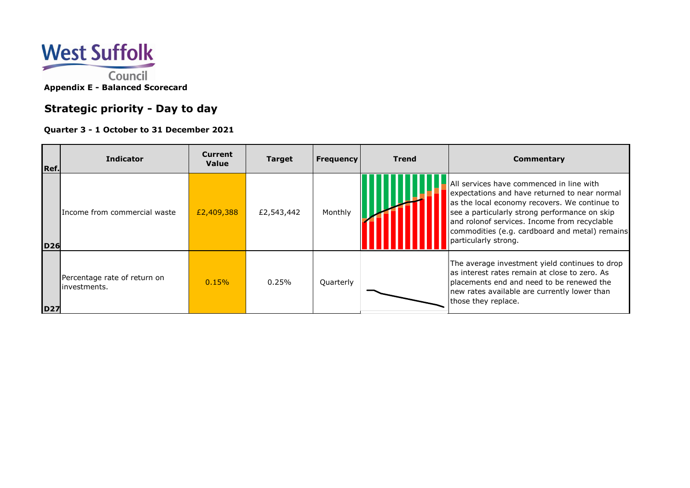

| Ref.       | <b>Indicator</b>                              | <b>Current</b><br>Value | <b>Target</b> | <b>Frequency</b> | <b>Trend</b> | <b>Commentary</b>                                                                                                                                                                                                                                                                                                     |
|------------|-----------------------------------------------|-------------------------|---------------|------------------|--------------|-----------------------------------------------------------------------------------------------------------------------------------------------------------------------------------------------------------------------------------------------------------------------------------------------------------------------|
| <b>D26</b> | Income from commercial waste                  | £2,409,388              | £2,543,442    | Monthly          |              | All services have commenced in line with<br>expectations and have returned to near normal<br>as the local economy recovers. We continue to<br>see a particularly strong performance on skip<br>and rolonof services. Income from recyclable<br>commodities (e.g. cardboard and metal) remains<br>particularly strong. |
| <b>D27</b> | Percentage rate of return on<br>linvestments. | 0.15%                   | 0.25%         | Quarterly        |              | The average investment yield continues to drop<br>as interest rates remain at close to zero. As<br>placements end and need to be renewed the<br>new rates available are currently lower than<br>those they replace.                                                                                                   |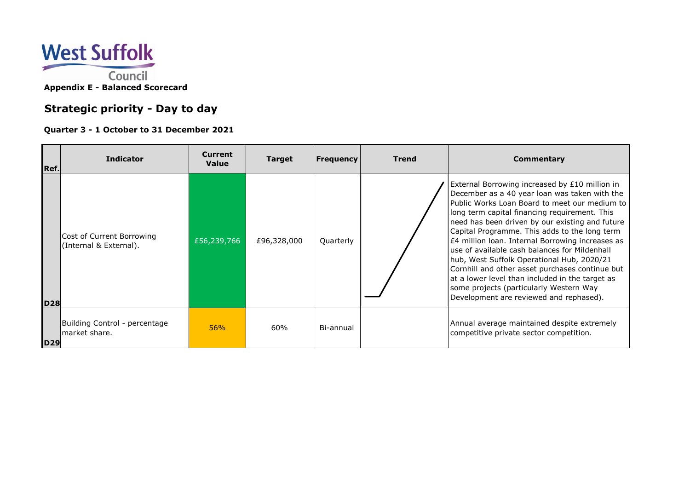

| Ref.       | <b>Indicator</b>                                    | <b>Current</b><br>Value | <b>Target</b> | <b>Frequency</b> | <b>Trend</b> | Commentary                                                                                                                                                                                                                                                                                                                                                                                                                                                                                                                                                                                                                                           |
|------------|-----------------------------------------------------|-------------------------|---------------|------------------|--------------|------------------------------------------------------------------------------------------------------------------------------------------------------------------------------------------------------------------------------------------------------------------------------------------------------------------------------------------------------------------------------------------------------------------------------------------------------------------------------------------------------------------------------------------------------------------------------------------------------------------------------------------------------|
| <b>D28</b> | Cost of Current Borrowing<br>(Internal & External). | £56,239,766             | £96,328,000   | Quarterly        |              | External Borrowing increased by £10 million in<br>December as a 40 year loan was taken with the<br>Public Works Loan Board to meet our medium to<br>long term capital financing requirement. This<br>need has been driven by our existing and future<br>Capital Programme. This adds to the long term<br>E4 million loan. Internal Borrowing increases as<br>use of available cash balances for Mildenhall<br>hub, West Suffolk Operational Hub, 2020/21<br>Cornhill and other asset purchases continue but<br>at a lower level than included in the target as<br>some projects (particularly Western Way<br>Development are reviewed and rephased). |
| D29        | Building Control - percentage<br>market share.      | 56%                     | 60%           | Bi-annual        |              | Annual average maintained despite extremely<br>competitive private sector competition.                                                                                                                                                                                                                                                                                                                                                                                                                                                                                                                                                               |